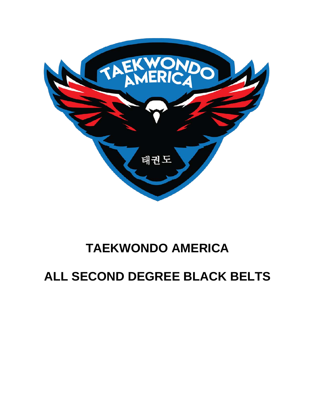

# **TAEKWONDO AMERICA**

# **ALL SECOND DEGREE BLACK BELTS**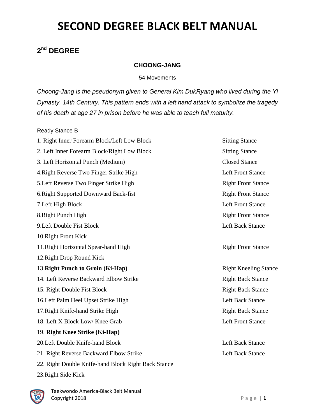#### **2nd DEGREE**

#### **CHOONG-JANG**

54 Movements

*Choong-Jang is the pseudonym given to General Kim DukRyang who lived during the Yi Dynasty, 14th Century. This pattern ends with a left hand attack to symbolize the tragedy of his death at age 27 in prison before he was able to teach full maturity.*

#### Ready Stance B

1. Right Inner Forearm Block/Left Low Block Sitting Stance 2. Left Inner Forearm Block/Right Low Block Sitting Stance 3. Left Horizontal Punch (Medium) Closed Stance 4.Right Reverse Two Finger Strike High Left Front Stance 5. Left Reverse Two Finger Strike High Right Front Stance 6. Right Supported Downward Back-fist Right Front Stance 7. Left High Block Left Front Stance 8. Right Punch High Right Front Stance 9. Left Double Fist Block Legislation Contract Left Back Stance 10.Right Front Kick 11. Right Horizontal Spear-hand High Right Front Stance 12.Right Drop Round Kick 13. **Right Punch to Groin (Ki-Hap)** Right Kneeling Stance 14. Left Reverse Backward Elbow Strike Right Back Stance 15. Right Double Fist Block **Right Back Stance** Right Back Stance 16. Left Palm Heel Upset Strike High Left Back Stance 17. Right Knife-hand Strike High Right Back Stance 18. Left X Block Low/ Knee Grab Left Front Stance 19. **Right Knee Strike (Ki-Hap)** 20. Left Double Knife-hand Block Left Back Stance 21. Right Reverse Backward Elbow Strike Left Back Stance Left Back Stance 22. Right Double Knife-hand Block Right Back Stance 23.Right Side Kick

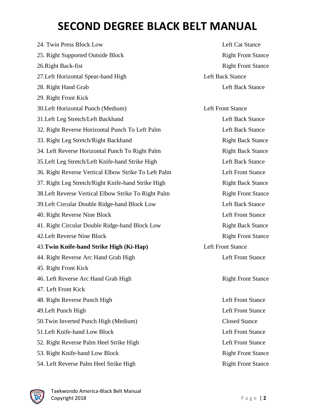24. Twin Press Block Low Left Cat Stance 25. Right Supported Outside Block Right Front Stance 26. Right Back-fist Right Front Stance 27. Left Horizontal Spear-hand High Left Back Stance 28. Right Hand Grab Left Back Stance 29. Right Front Kick 30.Left Horizontal Punch (Medium) Left Front Stance 31. Left Leg Stretch/Left Backhand Left Back Stance 32. Right Reverse Horizontal Punch To Left Palm Left Back Stance 33. Right Leg Stretch/Right Backhand Right Back Stance 34. Left Reverse Horizontal Punch To Right Palm Right Back Stance 35.Left Leg Stretch/Left Knife-hand Strike High Left Back Stance 36. Right Reverse Vertical Elbow Strike To Left Palm Left Front Stance 37. Right Leg Stretch/Right Knife-hand Strike High Right Back Stance 38.Left Reverse Vertical Elbow Strike To Right Palm Right Front Stance 39.Left Circular Double Ridge-hand Block Low Left Back Stance 40. Right Reverse Nine Block Left Front Stance 41. Right Circular Double Ridge-hand Block Low Right Back Stance 42. Left Reverse Nine Block Right Front Stance 43.**Twin Knife-hand Strike High (Ki-Hap)** Left Front Stance 44. Right Reverse Arc Hand Grab High Left Front Stance 45. Right Front Kick 46. Left Reverse Arc Hand Grab High Right Front Stance 47. Left Front Kick 48. Right Reverse Punch High Left Front Stance 49.Left Punch High Left Front Stance 50.Twin Inverted Punch High (Medium) Closed Stance 51.Left Knife-hand Low Block Left Front Stance 52. Right Reverse Palm Heel Strike High Left Front Stance 53. Right Knife-hand Low Block Right Front Stance 54. Left Reverse Palm Heel Strike High Right Front Stance

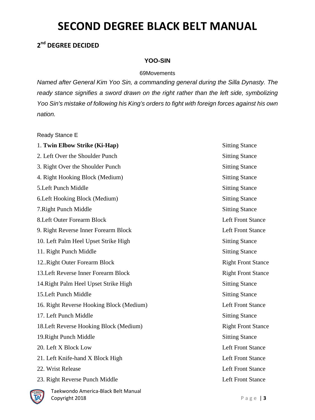#### **2nd DEGREE DECIDED**

#### **YOO-SIN**

#### 69Movements

*Named after General Kim Yoo Sin, a commanding general during the Silla Dynasty. The ready stance signifies a sword drawn on the right rather than the left side, symbolizing Yoo Sin's mistake of following his King's orders to fight with foreign forces against his own nation.*

Ready Stance E

### 1. **Twin Elbow Strike (Ki-Hap)** Sitting Stance 2. Left Over the Shoulder Punch Sitting Stance 3. Right Over the Shoulder Punch Sitting Stance Sitting Stance 4. Right Hooking Block (Medium) Sitting Stance 5. Left Punch Middle Sitting Stance 6. Left Hooking Block (Medium) Sitting Stance 7. Right Punch Middle Stance 8. Left Outer Forearm Block Left Front Stance 9. Right Reverse Inner Forearm Block Left Front Stance 10. Left Palm Heel Upset Strike High Sitting Stance 11. Right Punch Middle Stance 12..Right Outer Forearm Block Right Front Stance 13. Left Reverse Inner Forearm Block Right Front Stance 14. Right Palm Heel Upset Strike High Sitting Stance 15.Left Punch Middle Sitting Stance 16. Right Reverse Hooking Block (Medium) Left Front Stance 17. Left Punch Middle Sitting Stance 18. Left Reverse Hooking Block (Medium) Right Front Stance 19. Right Punch Middle Stance 20. Left X Block Low Left Stance 21. Left Knife-hand X Block High Left Front Stance 22. Wrist Release Left Front Stance 23. Right Reverse Punch Middle Left Front Stance

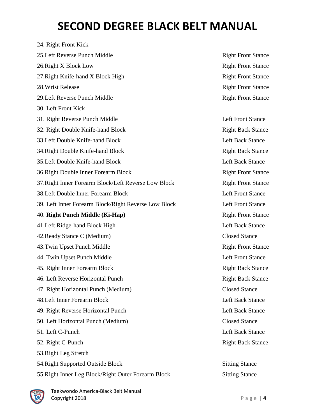24. Right Front Kick 25. Left Reverse Punch Middle **Right Front Stance** Right Front Stance 26. Right X Block Low Right Front Stance 27. Right Knife-hand X Block High Right Front Stance 28. Wrist Release Right Front Stance 29. Left Reverse Punch Middle **Right Front Stance** Right Front Stance 30. Left Front Kick 31. Right Reverse Punch Middle **Left Front Stance** Left Front Stance 32. Right Double Knife-hand Block Right Back Stance 33. Left Double Knife-hand Block Left Back Stance 34. Right Double Knife-hand Block Right Back Stance 35. Left Double Knife-hand Block Left Back Stance 36. Right Double Inner Forearm Block Right Front Stance 37. Right Inner Forearm Block/Left Reverse Low Block Right Front Stance 38. Left Double Inner Forearm Block Left Front Stance 39. Left Inner Forearm Block/Right Reverse Low Block Left Front Stance 40. **Right Punch Middle (Ki-Hap)** Right Front Stance 41. Left Ridge-hand Block High Left Back Stance 42.Ready Stance C (Medium) Closed Stance 43.Twin Upset Punch Middle **Right Front Stance** 44. Twin Upset Punch Middle Left Front Stance 45. Right Inner Forearm Block Right Back Stance 46. Left Reverse Horizontal Punch Right Back Stance 47. Right Horizontal Punch (Medium) Closed Stance 48. Left Inner Forearm Block Left Back Stance 49. Right Reverse Horizontal Punch Left Back Stance 50. Left Horizontal Punch (Medium) Closed Stance 51. Left C-Punch Left Back Stance 52. Right C-Punch **Right Back Stance Right Back Stance** 53.Right Leg Stretch 54. Right Supported Outside Block Sitting Stance 55.Right Inner Leg Block/Right Outer Forearm Block Sitting Stance

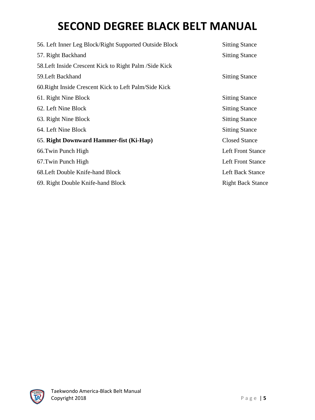| 56. Left Inner Leg Block/Right Supported Outside Block  | <b>Sitting Stance</b>    |  |
|---------------------------------------------------------|--------------------------|--|
| 57. Right Backhand                                      | <b>Sitting Stance</b>    |  |
| 58. Left Inside Crescent Kick to Right Palm / Side Kick |                          |  |
| 59. Left Backhand                                       | <b>Sitting Stance</b>    |  |
| 60. Right Inside Crescent Kick to Left Palm/Side Kick   |                          |  |
| 61. Right Nine Block                                    | <b>Sitting Stance</b>    |  |
| 62. Left Nine Block                                     | <b>Sitting Stance</b>    |  |
| 63. Right Nine Block                                    | <b>Sitting Stance</b>    |  |
| 64. Left Nine Block                                     | <b>Sitting Stance</b>    |  |
| 65. Right Downward Hammer-fist (Ki-Hap)                 | <b>Closed Stance</b>     |  |
| 66. Twin Punch High                                     | <b>Left Front Stance</b> |  |
| 67. Twin Punch High                                     | <b>Left Front Stance</b> |  |
| 68. Left Double Knife-hand Block                        | Left Back Stance         |  |
| 69. Right Double Knife-hand Block                       | <b>Right Back Stance</b> |  |

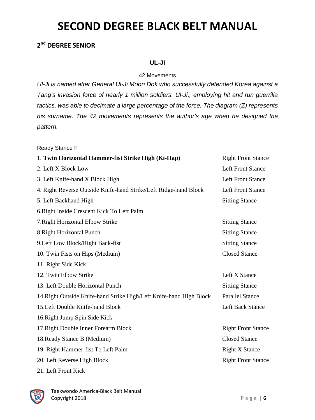#### **2nd DEGREE SENIOR**

#### **UL-JI**

#### 42 Movements

*Ul-Ji is named after General Ul-Ji Moon Dok who successfully defended Korea against a Tang's invasion force of nearly 1 million soldiers. Ul-Ji,, employing hit and run guerrilla tactics, was able to decimate a large percentage of the force. The diagram (Z) represents his surname. The 42 movements represents the author's age when he designed the pattern.*

Ready Stance F

| 1. Twin Horizontal Hammer-fist Strike High (Ki-Hap)                 | <b>Right Front Stance</b> |
|---------------------------------------------------------------------|---------------------------|
| 2. Left X Block Low                                                 | <b>Left Front Stance</b>  |
| 3. Left Knife-hand X Block High                                     | <b>Left Front Stance</b>  |
| 4. Right Reverse Outside Knife-hand Strike/Left Ridge-hand Block    | <b>Left Front Stance</b>  |
| 5. Left Backhand High                                               | <b>Sitting Stance</b>     |
| 6. Right Inside Crescent Kick To Left Palm                          |                           |
| 7. Right Horizontal Elbow Strike                                    | <b>Sitting Stance</b>     |
| 8. Right Horizontal Punch                                           | <b>Sitting Stance</b>     |
| 9. Left Low Block/Right Back-fist                                   | <b>Sitting Stance</b>     |
| 10. Twin Fists on Hips (Medium)                                     | <b>Closed Stance</b>      |
| 11. Right Side Kick                                                 |                           |
| 12. Twin Elbow Strike                                               | Left X Stance             |
| 13. Left Double Horizontal Punch                                    | <b>Sitting Stance</b>     |
| 14. Right Outside Knife-hand Strike High/Left Knife-hand High Block | <b>Parallel Stance</b>    |
| 15. Left Double Knife-hand Block                                    | <b>Left Back Stance</b>   |
| 16. Right Jump Spin Side Kick                                       |                           |
| 17. Right Double Inner Forearm Block                                | <b>Right Front Stance</b> |
| 18. Ready Stance B (Medium)                                         | <b>Closed Stance</b>      |
| 19. Right Hammer-fist To Left Palm                                  | <b>Right X Stance</b>     |
| 20. Left Reverse High Block                                         | <b>Right Front Stance</b> |
| 21. Left Front Kick                                                 |                           |

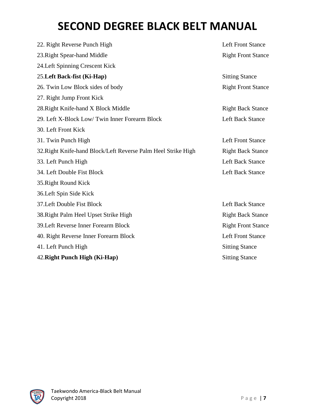| 22. Right Reverse Punch High                                  | <b>Left Front Stance</b>  |  |
|---------------------------------------------------------------|---------------------------|--|
| 23. Right Spear-hand Middle                                   | <b>Right Front Stance</b> |  |
| 24.Left Spinning Crescent Kick                                |                           |  |
| 25. Left Back-fist (Ki-Hap)                                   | <b>Sitting Stance</b>     |  |
| 26. Twin Low Block sides of body                              | <b>Right Front Stance</b> |  |
| 27. Right Jump Front Kick                                     |                           |  |
| 28. Right Knife-hand X Block Middle                           | <b>Right Back Stance</b>  |  |
| 29. Left X-Block Low/Twin Inner Forearm Block                 | <b>Left Back Stance</b>   |  |
| 30. Left Front Kick                                           |                           |  |
| 31. Twin Punch High                                           | <b>Left Front Stance</b>  |  |
| 32. Right Knife-hand Block/Left Reverse Palm Heel Strike High | <b>Right Back Stance</b>  |  |
| 33. Left Punch High                                           | <b>Left Back Stance</b>   |  |
| 34. Left Double Fist Block                                    | <b>Left Back Stance</b>   |  |
| 35. Right Round Kick                                          |                           |  |
| 36. Left Spin Side Kick                                       |                           |  |
| 37. Left Double Fist Block                                    | <b>Left Back Stance</b>   |  |
| 38. Right Palm Heel Upset Strike High                         | <b>Right Back Stance</b>  |  |
| 39. Left Reverse Inner Forearm Block                          | <b>Right Front Stance</b> |  |
| 40. Right Reverse Inner Forearm Block                         | <b>Left Front Stance</b>  |  |
| 41. Left Punch High                                           | <b>Sitting Stance</b>     |  |
| 42. Right Punch High (Ki-Hap)                                 | <b>Sitting Stance</b>     |  |

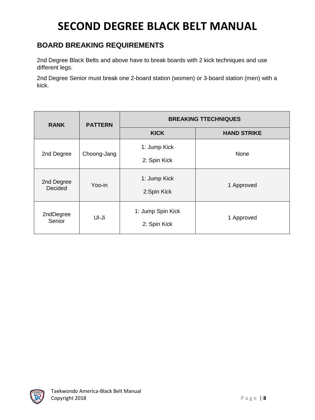#### **BOARD BREAKING REQUIREMENTS**

2nd Degree Black Belts and above have to break boards with 2 kick techniques and use different legs.

2nd Degree Senior must break one 2-board station (women) or 3-board station (men) with a kick.

| <b>RANK</b>           | <b>PATTERN</b> | <b>BREAKING TTECHNIQUES</b>       |                    |  |
|-----------------------|----------------|-----------------------------------|--------------------|--|
|                       |                | <b>KICK</b>                       | <b>HAND STRIKE</b> |  |
| 2nd Degree            | Choong-Jang    | 1: Jump Kick<br>2: Spin Kick      | None               |  |
| 2nd Degree<br>Decided | Yoo-in         | 1: Jump Kick<br>2:Spin Kick       | 1 Approved         |  |
| 2ndDegree<br>Senior   | Ul-Ji          | 1: Jump Spin Kick<br>2: Spin Kick | 1 Approved         |  |